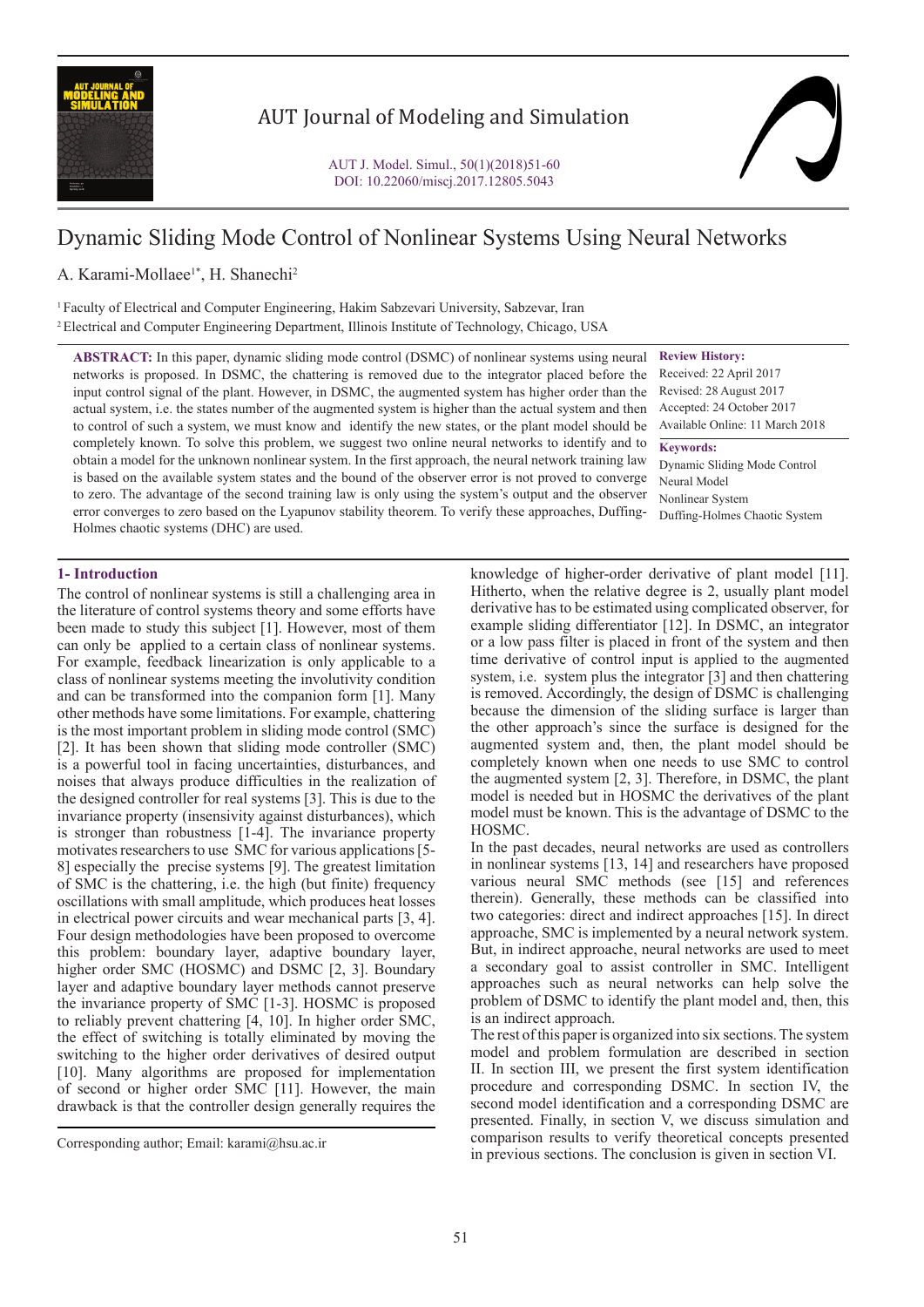

# AUT Journal of Modeling and Simulation

# Dynamic Sliding Mode Control of Nonlinear Systems Using Neural Networks

# A. Karami-Mollaee<sup>1\*</sup>, H. Shanechi<sup>2</sup>

1 Faculty of Electrical and Computer Engineering, Hakim Sabzevari University, Sabzevar, Iran 2 Electrical and Computer Engineering Department, Illinois Institute of Technology, Chicago, USA

**ABSTRACT:** In this paper, dynamic sliding mode control (DSMC) of nonlinear systems using neural networks is proposed. In DSMC, the chattering is removed due to the integrator placed before the input control signal of the plant. However, in DSMC, the augmented system has higher order than the actual system, i.e. the states number of the augmented system is higher than the actual system and then to control of such a system, we must know and identify the new states, or the plant model should be completely known. To solve this problem, we suggest two online neural networks to identify and to obtain a model for the unknown nonlinear system. In the first approach, the neural network training law is based on the available system states and the bound of the observer error is not proved to converge to zero. The advantage of the second training law is only using the system's output and the observer error converges to zero based on the Lyapunov stability theorem. To verify these approaches, Duffing-Holmes chaotic systems (DHC) are used.

## **Review History:**

Received: 22 April 2017 Revised: 28 August 2017 Accepted: 24 October 2017 Available Online: 11 March 2018 **Keywords:**

Dynamic Sliding Mode Control Neural Model Nonlinear System Duffing-Holmes Chaotic System

# **1- Introduction**

The control of nonlinear systems is still a challenging area in the literature of control systems theory and some efforts have been made to study this subject [1]. However, most of them can only be applied to a certain class of nonlinear systems. For example, feedback linearization is only applicable to a class of nonlinear systems meeting the involutivity condition and can be transformed into the companion form [1]. Many other methods have some limitations. For example, chattering is the most important problem in sliding mode control (SMC) [2]. It has been shown that sliding mode controller (SMC) is a powerful tool in facing uncertainties, disturbances, and noises that always produce difficulties in the realization of the designed controller for real systems [3]. This is due to the invariance property (insensivity against disturbances), which is stronger than robustness [1-4]. The invariance property motivates researchers to use SMC for various applications [5- 8] especially the precise systems [9]. The greatest limitation of SMC is the chattering, i.e. the high (but finite) frequency oscillations with small amplitude, which produces heat losses in electrical power circuits and wear mechanical parts [3, 4]. Four design methodologies have been proposed to overcome this problem: boundary layer, adaptive boundary layer, higher order SMC (HOSMC) and DSMC [2, 3]. Boundary layer and adaptive boundary layer methods cannot preserve the invariance property of SMC [1-3]. HOSMC is proposed to reliably prevent chattering [4, 10]. In higher order SMC, the effect of switching is totally eliminated by moving the switching to the higher order derivatives of desired output [10]. Many algorithms are proposed for implementation of second or higher order SMC [11]. However, the main drawback is that the controller design generally requires the

knowledge of higher-order derivative of plant model [11]. Hitherto, when the relative degree is 2, usually plant model derivative has to be estimated using complicated observer, for example sliding differentiator [12]. In DSMC, an integrator or a low pass filter is placed in front of the system and then time derivative of control input is applied to the augmented system, i.e. system plus the integrator [3] and then chattering is removed. Accordingly, the design of DSMC is challenging because the dimension of the sliding surface is larger than the other approach's since the surface is designed for the augmented system and, then, the plant model should be completely known when one needs to use SMC to control the augmented system [2, 3]. Therefore, in DSMC, the plant model is needed but in HOSMC the derivatives of the plant model must be known. This is the advantage of DSMC to the HOSMC.

In the past decades, neural networks are used as controllers in nonlinear systems [13, 14] and researchers have proposed various neural SMC methods (see [15] and references therein). Generally, these methods can be classified into two categories: direct and indirect approaches [15]. In direct approache, SMC is implemented by a neural network system. But, in indirect approache, neural networks are used to meet a secondary goal to assist controller in SMC. Intelligent approaches such as neural networks can help solve the problem of DSMC to identify the plant model and, then, this is an indirect approach.

The rest of this paper is organized into six sections. The system model and problem formulation are described in section II. In section III, we present the first system identification procedure and corresponding DSMC. In section IV, the second model identification and a corresponding DSMC are presented. Finally, in section V, we discuss simulation and comparison results to verify theoretical concepts presented in previous sections. The conclusion is given in section VI.

Corresponding author; Email: karami@hsu.ac.ir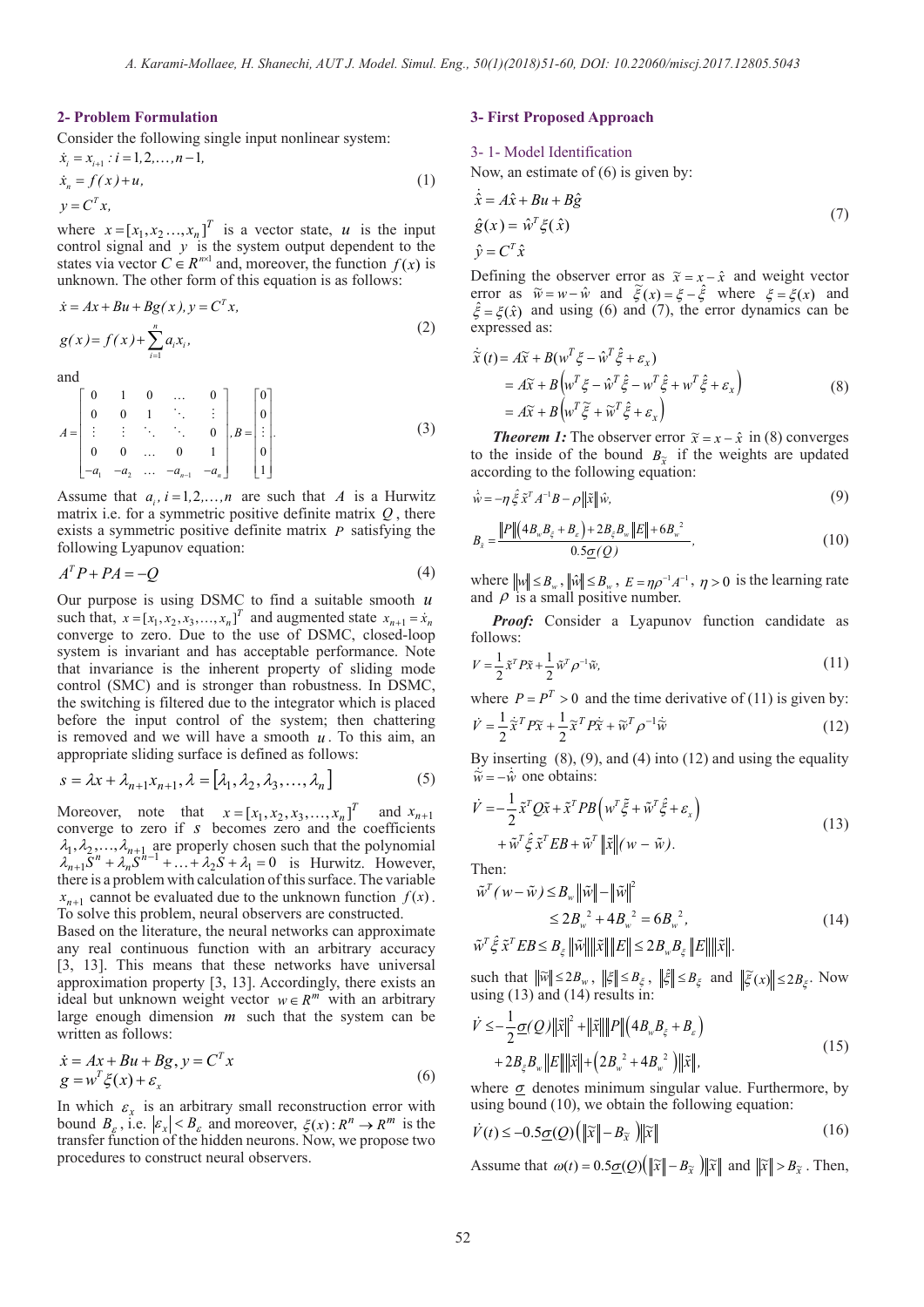### **2- Problem Formulation**

Consider the following single input nonlinear system:

$$
\dot{x}_i = x_{i+1} : i = 1, 2, ..., n-1,\n\dot{x}_n = f(x) + u,\n y = C^T x,
$$
\n(1)

where  $x = [x_1, x_2, ..., x_n]^T$  is a vector state, *u* is the input control signal and *y* is the system output dependent to the states via vector  $C \in R^{n \times 1}$  and, moreover, the function  $f(x)$  is unknown. The other form of this equation is as follows:

$$
\begin{aligned} \n\dot{x} &= Ax + Bu + Bg(x), \\
y &= C^T x, \\
g(x) &= f(x) + \sum_{i=1}^n a_i x_i,\n\end{aligned} \tag{2}
$$

and

$$
A = \begin{bmatrix} 0 & 1 & 0 & \dots & 0 \\ 0 & 0 & 1 & \ddots & \vdots \\ \vdots & \vdots & \ddots & \ddots & 0 \\ 0 & 0 & \dots & 0 & 1 \\ -a_1 & -a_2 & \dots & -a_{n-1} & -a_n \end{bmatrix}, B = \begin{bmatrix} 0 \\ 0 \\ \vdots \\ 0 \\ 1 \end{bmatrix}.
$$
 (3)

Assume that  $a_i$ ,  $i = 1, 2, ..., n$  are such that *A* is a Hurwitz matrix i.e. for a symmetric positive definite matrix *Q* , there exists a symmetric positive definite matrix *P* satisfying the following Lyapunov equation:

$$
A^T P + P A = -Q \tag{4}
$$

Our purpose is using DSMC to find a suitable smooth *u* such that,  $x = [x_1, x_2, x_3, \dots, x_n]^T$  and augmented state  $x_{n+1} = \dot{x}_n$ converge to zero. Due to the use of DSMC, closed-loop system is invariant and has acceptable performance. Note that invariance is the inherent property of sliding mode control (SMC) and is stronger than robustness. In DSMC, the switching is filtered due to the integrator which is placed before the input control of the system; then chattering is removed and we will have a smooth *u* . To this aim, an appropriate sliding surface is defined as follows:

$$
s = \lambda x + \lambda_{n+1} x_{n+1}, \lambda = [\lambda_1, \lambda_2, \lambda_3, \dots, \lambda_n]
$$
 (5)

Moreover, note that  $x = [x_1, x_2, x_3, ..., x_n]^T$  and  $x_{n+1}$ converge to zero if *s* becomes zero and the coefficients  $\lambda_1, \lambda_2, ..., \lambda_{n+1}$  are properly chosen such that the polynomial  $\lambda_{n+1} S^n + \lambda_n S^{n-1} + \ldots + \lambda_2 S + \lambda_1 = 0$  is Hurwitz. However, there is a problem with calculation of this surface. The variable  $x_{n+1}$  cannot be evaluated due to the unknown function  $f(x)$ . To solve this problem, neural observers are constructed.

Based on the literature, the neural networks can approximate any real continuous function with an arbitrary accuracy [3, 13]. This means that these networks have universal approximation property [3, 13]. Accordingly, there exists an ideal but unknown weight vector  $w \in R^m$  with an arbitrary large enough dimension *m* such that the system can be written as follows:

$$
\begin{aligned} \n\dot{x} &= Ax + Bu + Bg, \, y = C^T x \\ \ng &= w^T \xi(x) + \varepsilon_x \tag{6} \n\end{aligned}
$$

In which  $\varepsilon_x$  is an arbitrary small reconstruction error with bound  $B_{\varepsilon}$ , i.e.  $|\varepsilon_x| < B_{\varepsilon}$  and moreover,  $\xi(x) : R^n \to R^m$  is the transfer function of the hidden neurons. Now, we propose two procedures to construct neural observers.

# **3- First Proposed Approach**

#### 3- 1- Model Identification

Now, an estimate of (6) is given by:

$$
\begin{aligned}\n\dot{\hat{x}} &= A\hat{x} + Bu + B\hat{g} \\
\hat{g}(x) &= \hat{w}^T \xi(\hat{x}) \\
\hat{y} &= C^T \hat{x}\n\end{aligned} (7)
$$

Defining the observer error as  $\tilde{x} = x - \hat{x}$  and weight vector error as  $\tilde{w} = w - \hat{w}$  and  $\tilde{\xi}(x) = \xi - \hat{\xi}$  where  $\xi = \xi(x)$  and  $\hat{\xi} = \xi(\hat{x})$  and using (6) and (7), the error dynamics can be expressed as:

$$
\dot{\tilde{x}}(t) = A\tilde{x} + B(w^T\xi - \hat{w}^T\hat{\xi} + \varepsilon_x) \n= A\tilde{x} + B(w^T\xi - \hat{w}^T\hat{\xi} - w^T\hat{\xi} + w^T\hat{\xi} + \varepsilon_x) \n= A\tilde{x} + B(w^T\tilde{\xi} + \tilde{w}^T\hat{\xi} + \varepsilon_x)
$$
\n(8)

*Theorem 1:* The observer error  $\tilde{x} = x - \hat{x}$  in (8) converges to the inside of the bound  $B_{\tilde{x}}$  if the weights are updated according to the following equation:

$$
\dot{\hat{w}} = -\eta \hat{\xi} \tilde{x}^T A^{-1} B - \rho \|\tilde{x}\| \hat{w},\tag{9}
$$

$$
B_{\tilde{x}} = \frac{\|P\| \left(4B_w B_{\xi} + B_{\varepsilon}\right) + 2B_{\xi} B_w \|E\| + 6B_w^2}{0.5 \underline{\sigma}(Q)},
$$
\n(10)

where  $\|w\| \le B_w$ ,  $\|\hat{w}\| \le B_w$ ,  $E = \eta \rho^{-1} A^{-1}$ ,  $\eta > 0$  is the learning rate and  $\rho$  is a small positive number.

*Proof:* Consider a Lyapunov function candidate as follows:

$$
V = \frac{1}{2}\tilde{x}^T P \tilde{x} + \frac{1}{2} \tilde{w}^T \rho^{-1} \tilde{w},\tag{11}
$$

where  $P = P^T > 0$  and the time derivative of (11) is given by:  $\dot{V} = \frac{1}{2}\dot{\tilde{x}}^T P \tilde{x} + \frac{1}{2}\tilde{x}^T P \dot{\tilde{x}} + \tilde{w}^T \rho^{-1} \dot{\tilde{w}}$  $\dot{\widetilde{\mathbf{r}}}^T P \widetilde{\mathbf{r}} + \frac{1}{2}$  $=\frac{1}{2}\tilde{\mathbf{x}}^T P \tilde{\mathbf{x}} + \frac{1}{2}\tilde{\mathbf{x}}^T P \dot{\tilde{\mathbf{x}}} + \tilde{\mathbf{w}}^T \rho^{-1} \dot{\tilde{\mathbf{w}}}$  (12)

By inserting  $(8)$ ,  $(9)$ , and  $(4)$  into  $(12)$  and using the equality  $\dot{\widetilde{w}} = -\dot{\hat{w}}$  one obtains:

$$
\dot{V} = -\frac{1}{2}\tilde{x}^T Q \tilde{x} + \tilde{x}^T P B \left( w^T \tilde{\xi} + \tilde{w}^T \hat{\xi} + \varepsilon_x \right) \n+ \tilde{w}^T \hat{\xi} \tilde{x}^T E B + \tilde{w}^T ||\tilde{x}|| (w - \tilde{w}).
$$
\n(13)

Then:

$$
\sim T \sim 1
$$

$$
\tilde{w}^{T} (w - \tilde{w}) \leq B_{w} \|\tilde{w}\| - \|\tilde{w}\|^{2}
$$
\n
$$
\leq 2B_{w}^{2} + 4B_{w}^{2} = 6B_{w}^{2},
$$
\n(14)

$$
\tilde{w}^T \hat{\xi} \tilde{x}^T EB \leq B_{\xi} \|\tilde{w}\| \|\tilde{x}\| \|E\| \leq 2B_{w}B_{\xi} \|E\| \|\tilde{x}\|.
$$

such that  $\|\widetilde{w}\| \le 2B_w$ ,  $\|\xi\| \le B_\xi$ ,  $\|\xi\| \le B_\xi$  and  $\|\widetilde{\xi}(x)\| \le 2B_\xi$ . Now using (13) and (14) results in:

$$
\dot{V} \leq -\frac{1}{2}\underline{\sigma}(Q)\|\tilde{x}\|^2 + \|\tilde{x}\| \|P\| \left(4B_w B_{\xi} + B_{\varepsilon}\right) \n+ 2B_{\xi} B_w \|E\| \|\tilde{x}\| + \left(2B_w^2 + 4B_w^2\right) \|\tilde{x}\|,
$$
\n(15)

where  $\sigma$  denotes minimum singular value. Furthermore, by using bound (10), we obtain the following equation:

$$
\dot{V}(t) \le -0.5\underline{\sigma}(Q) \left( \|\widetilde{x}\| - B_{\widetilde{x}} \right) \|\widetilde{x}\| \tag{16}
$$

Assume that  $\omega(t) = 0.5\sigma(Q)\left(\|\tilde{x}\| - B_{\tilde{x}}\right) \|\tilde{x}\|$  and  $\|\tilde{x}\| > B_{\tilde{x}}$ . Then,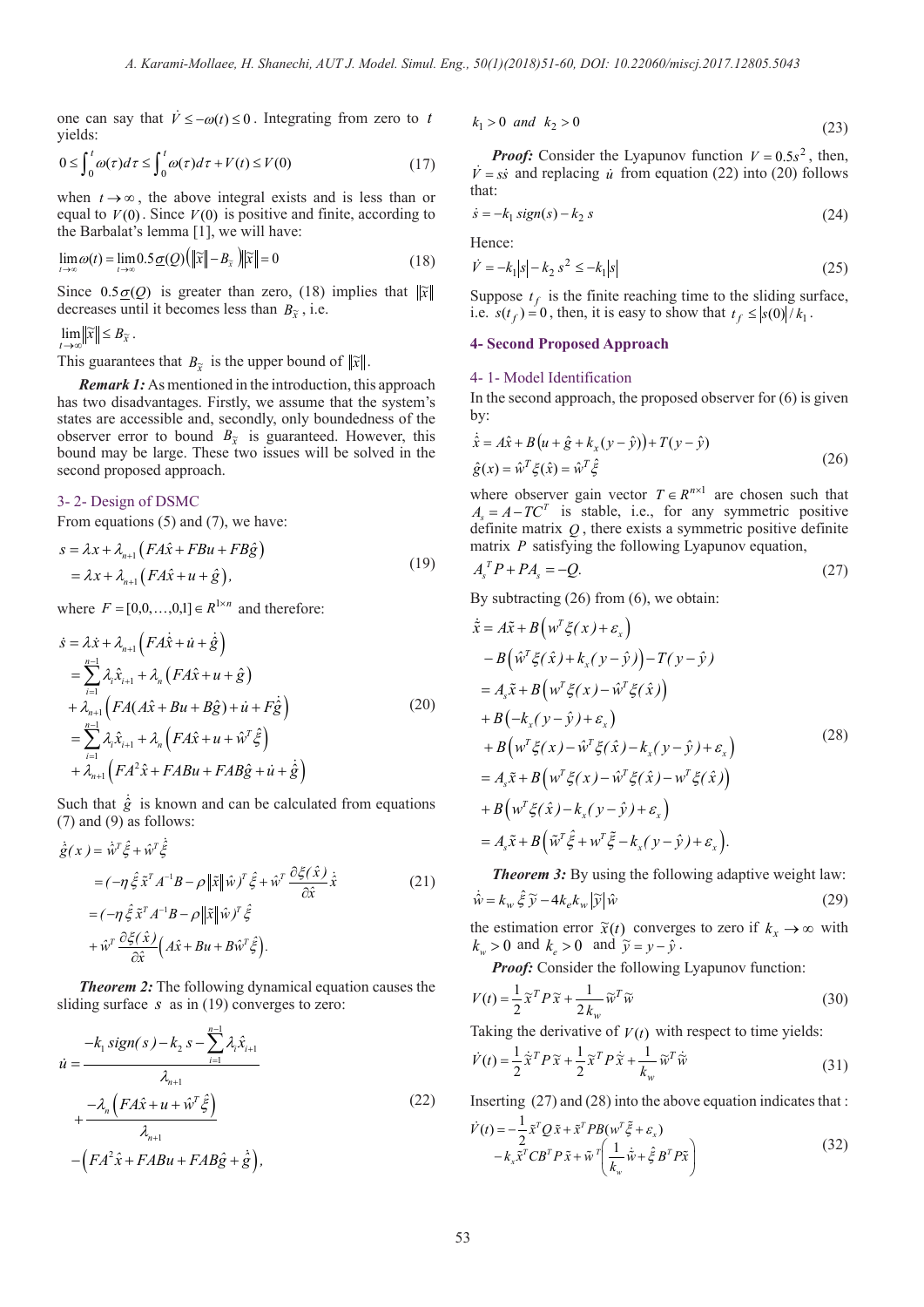one can say that  $\dot{V} \leq -\omega(t) \leq 0$ . Integrating from zero to *t* yields:

$$
0 \le \int_0^t \omega(\tau) d\tau \le \int_0^t \omega(\tau) d\tau + V(t) \le V(0)
$$
\n(17)

when  $t \rightarrow \infty$ , the above integral exists and is less than or equal to  $V(0)$ . Since  $V(0)$  is positive and finite, according to the Barbalat's lemma [1], we will have:

$$
\lim_{t \to \infty} \omega(t) = \lim_{t \to \infty} 0.5 \underline{\sigma}(Q) \left( \|\widetilde{x}\| - B_{\widetilde{x}} \right) \|\widetilde{x}\| = 0 \tag{18}
$$

Since  $0.5 \underline{\sigma}(Q)$  is greater than zero, (18) implies that  $\|\tilde{x}\|$ decreases until it becomes less than  $B_{\tilde{x}}$ , i.e.

 $\lim_{t\to\infty}$   $\|\widetilde{x}\| \leq B_{\widetilde{x}}$ .

This guarantees that  $B_{\tilde{x}}$  is the upper bound of  $\|\tilde{x}\|$ .

*Remark 1:* As mentioned in the introduction, this approach has two disadvantages. Firstly, we assume that the system's states are accessible and, secondly, only boundedness of the observer error to bound  $B_{\tilde{x}}$  is guaranteed. However, this bound may be large. These two issues will be solved in the second proposed approach.

#### 3- 2- Design of DSMC

From equations (5) and (7), we have:

$$
s = \lambda x + \lambda_{n+1} \left( FA\hat{x} + FBu + FB\hat{g} \right)
$$
  
=  $\lambda x + \lambda_{n+1} \left( FA\hat{x} + u + \hat{g} \right)$ , (19)

where  $F = [0, 0, ..., 0, 1] \in R^{1 \times n}$  and therefore:

$$
\begin{split}\n\dot{s} &= \lambda \dot{x} + \lambda_{n+1} \left( F A \dot{\hat{x}} + \dot{u} + \dot{\hat{g}} \right) \\
&= \sum_{i=1}^{n-1} \lambda_i \hat{x}_{i+1} + \lambda_n \left( F A \hat{x} + u + \hat{g} \right) \\
&+ \lambda_{n+1} \left( F A (A \hat{x} + B u + B \hat{g}) + \dot{u} + F \dot{\hat{g}} \right) \\
&= \sum_{i=1}^{n-1} \lambda_i \hat{x}_{i+1} + \lambda_n \left( F A \hat{x} + u + \hat{w}^T \hat{\xi} \right) \\
&+ \lambda_{n+1} \left( F A^2 \hat{x} + F A B u + F A B \hat{g} + \dot{u} + \dot{\hat{g}} \right)\n\end{split} \tag{20}
$$

Such that  $\dot{\hat{g}}$  is known and can be calculated from equations (7) and (9) as follows:

$$
\dot{\hat{g}}(x) = \dot{\hat{w}}^T \hat{\xi} + \hat{w}^T \dot{\hat{\xi}}
$$
\n
$$
= (-\eta \hat{\xi} \tilde{x}^T A^{-1} B - \rho ||\tilde{x}|| \hat{w})^T \hat{\xi} + \hat{w}^T \frac{\partial \xi(\hat{x})}{\partial \hat{x}} \dot{\tilde{x}} \qquad (21)
$$
\n
$$
= (-\eta \hat{\xi} \tilde{x}^T A^{-1} B - \rho ||\tilde{x}|| \hat{w})^T \hat{\xi}
$$
\n
$$
+ \hat{w}^T \frac{\partial \xi(\hat{x})}{\partial \hat{x}} \Big( A\hat{x} + Bu + B\hat{w}^T \hat{\xi} \Big).
$$

*Theorem 2:* The following dynamical equation causes the sliding surface *s* as in (19) converges to zero:

$$
\dot{u} = \frac{-k_1 \operatorname{sign}(s) - k_2 s - \sum_{i=1}^{n-1} \lambda_i \hat{x}_{i+1}}{\lambda_{n+1}} + \frac{-\lambda_n \left( F A \hat{x} + u + \hat{w}^T \hat{\xi} \right)}{\lambda_{n+1}} - \left( F A^2 \hat{x} + F A B u + F A B \hat{g} + \hat{\xi} \right),
$$
\n(22)

$$
k_1 > 0 \quad \text{and} \quad k_2 > 0 \tag{23}
$$

*Proof:* Consider the Lyapunov function  $V = 0.5s^2$ , then,  $\dot{V} = s\dot{s}$  and replacing *u* from equation (22) into (20) follows that:

$$
\dot{s} = -k_1 \operatorname{sign}(s) - k_2 \, s \tag{24}
$$

Hence:

$$
\dot{V} = -k_1|s| - k_2 s^2 \le -k_1|s| \tag{25}
$$

Suppose  $t_f$  is the finite reaching time to the sliding surface, i.e.  $s(t_f) = 0$ , then, it is easy to show that  $t_f \le |s(0)|/k_1$ .

# **4- Second Proposed Approach**

#### 4- 1- Model Identification

In the second approach, the proposed observer for  $(6)$  is given by:

$$
\dot{\hat{x}} = A\hat{x} + B(u + \hat{g} + k_x(y - \hat{y})) + T(y - \hat{y})
$$
  

$$
\hat{g}(x) = \hat{w}^T \xi(\hat{x}) = \hat{w}^T \hat{\xi}
$$
 (26)

where observer gain vector  $T \in R^{n \times 1}$  are chosen such that  $A_s = A - TC^T$  is stable, i.e., for any symmetric positive definite matrix *Q* , there exists a symmetric positive definite matrix *P* satisfying the following Lyapunov equation,

$$
A_s^T P + P A_s = -Q. \tag{27}
$$

By subtracting (26) from (6), we obtain:

$$
\dot{\tilde{x}} = A\tilde{x} + B\left(w^T \xi(x) + \varepsilon_x\right) \n- B\left(\hat{w}^T \xi(\hat{x}) + k_x(y - \hat{y})\right) - T(y - \hat{y}) \n= A_s \tilde{x} + B\left(w^T \xi(x) - \hat{w}^T \xi(\hat{x})\right) \n+ B\left(-k_x(y - \hat{y}) + \varepsilon_x\right) \n+ B\left(w^T \xi(x) - \hat{w}^T \xi(\hat{x}) - k_x(y - \hat{y}) + \varepsilon_x\right) \n= A_s \tilde{x} + B\left(w^T \xi(x) - \hat{w}^T \xi(\hat{x}) - w^T \xi(\hat{x})\right) \n+ B\left(w^T \xi(\hat{x}) - k_x(y - \hat{y}) + \varepsilon_x\right) \n= A_s \tilde{x} + B\left(\tilde{w}^T \hat{\xi} + w^T \tilde{\xi} - k_x(y - \hat{y}) + \varepsilon_x\right).
$$
\n(28)

*Theorem 3:* By using the following adaptive weight law:  $\dot{\hat{w}} = k_w \hat{\xi} \tilde{v} - 4k_e k_w |\tilde{v}| \hat{w}$  (29)

the estimation error  $\tilde{x}(t)$  converges to zero if  $k_{r} \to \infty$  with  $k_w > 0$  and  $k_e > 0$  and  $\tilde{y} = y - \hat{y}$ .

*Proof:* Consider the following Lyapunov function:

$$
V(t) = \frac{1}{2} \tilde{\mathbf{x}}^T P \tilde{\mathbf{x}} + \frac{1}{2k_w} \tilde{\mathbf{w}}^T \tilde{\mathbf{w}}
$$
(30)

Taking the derivative of  $V(t)$  with respect to time yields:

$$
\dot{V}(t) = \frac{1}{2}\tilde{x}^T P \tilde{x} + \frac{1}{2}\tilde{x}^T P \dot{\tilde{x}} + \frac{1}{k_w} \tilde{w}^T \dot{\tilde{w}} \tag{31}
$$

Inserting (27) and (28) into the above equation indicates that :

$$
\dot{V}(t) = -\frac{1}{2}\tilde{x}^T Q \tilde{x} + \tilde{x}^T P B (w^T \tilde{\xi} + \varepsilon_x) \n- k_x \tilde{x}^T C B^T P \tilde{x} + \tilde{w}^T \left( \frac{1}{k_w} \tilde{w} + \hat{\xi} B^T P \tilde{x} \right)
$$
\n(32)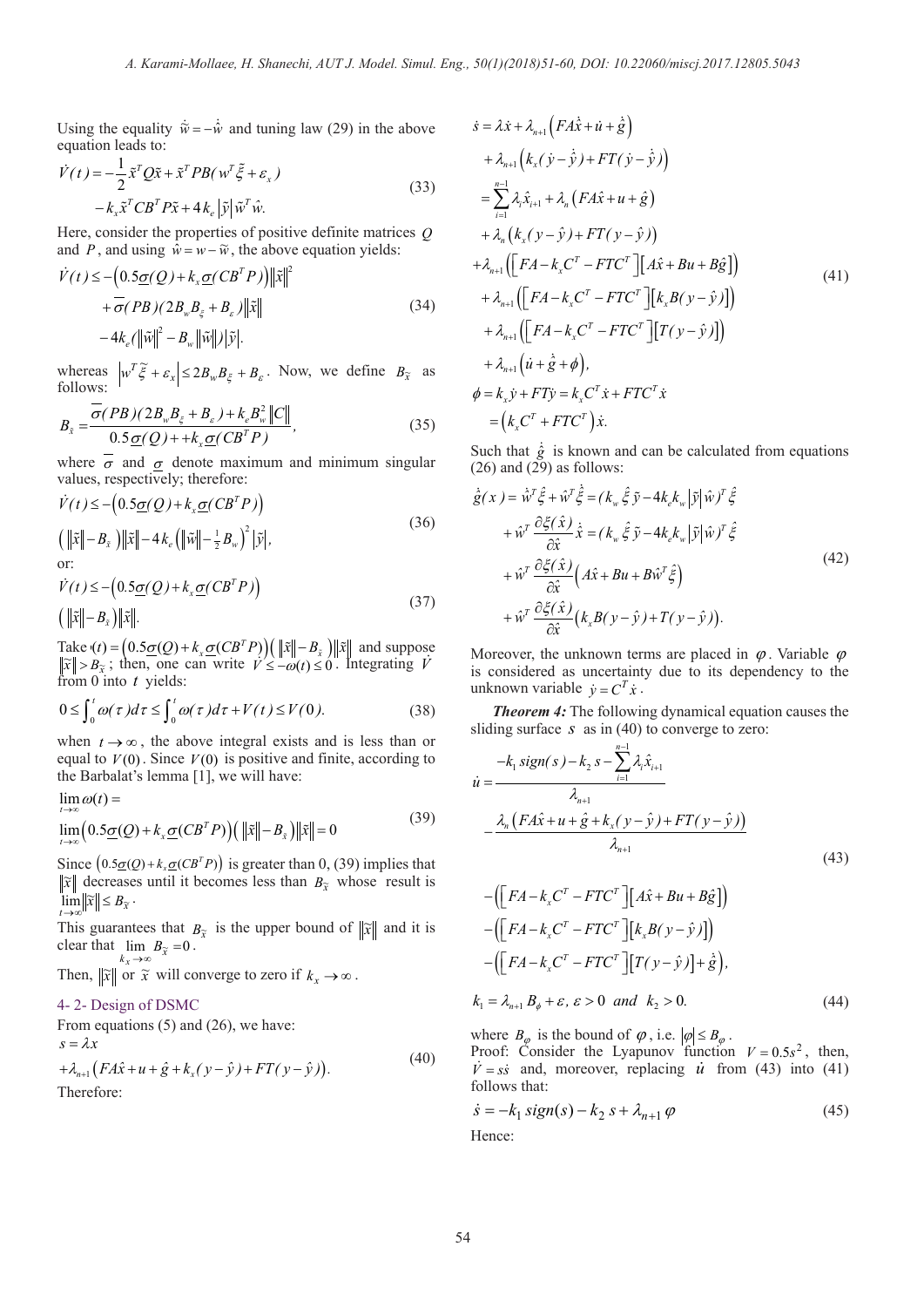Using the equality  $\dot{\tilde{w}} = -\dot{\hat{w}}$  and tuning law (29) in the above equation leads to:

$$
\dot{V}(t) = -\frac{1}{2}\tilde{x}^T Q \tilde{x} + \tilde{x}^T P B(w^T \tilde{\xi} + \varepsilon_x) \n- k_x \tilde{x}^T C B^T P \tilde{x} + 4 k_e |\tilde{y}| \tilde{w}^T \hat{w}.
$$
\n(33)

Here, consider the properties of positive definite matrices *Q* and  $\overrightarrow{P}$ , and using  $\overrightarrow{w} = \overrightarrow{w} - \overrightarrow{w}$ , the above equation yields:  $T = \lambda \ln 12$ 

$$
\dot{V}(t) \leq -\left(0.5\underline{\sigma}(Q) + k_x \underline{\sigma}(CB^T P)\right) \|\tilde{x}\|^2 \n+ \overline{\sigma}(PB)(2B_w B_{\xi} + B_{\varepsilon}) \|\tilde{x}\| \n- 4k_{\varepsilon}(\|\tilde{w}\|^2 - B_w \|\tilde{w}\|) |\tilde{y}|.
$$
\n(34)

whereas  $\left| w^T \tilde{\xi} + \varepsilon_x \right| \leq 2B_w B_{\xi} + B_{\varepsilon}$ . Now, we define  $B_{\tilde{x}}$  as follows:

$$
B_{\tilde{x}} = \frac{\sigma(PB)(2B_w B_{\xi} + B_{\varepsilon}) + k_e B_w^2 ||C||}{0.5 \underline{\sigma}(Q) + + k_x \underline{\sigma}(CB^T P)},
$$
\n(35)

where  $\overline{\sigma}$  and  $\sigma$  denote maximum and minimum singular values, respectively; therefore:

$$
\dot{V}(t) \leq -\left(0.5\underline{\sigma}(Q) + k_x \underline{\sigma}(CB^T P)\right)
$$
\n
$$
\left(\|\tilde{x}\| - B_{\tilde{x}}\right) \|\tilde{x}\| - 4k_e \left(\|\tilde{w}\| - \frac{1}{2}B_w\right)^2 |\tilde{y}|,
$$
\nor:\n
$$
\dot{V}(t) \leq -\left(0.5\underline{\sigma}(Q) + k_x \underline{\sigma}(CB^T P)\right)
$$
\n(37)

$$
\left(\left\|\tilde{x}\right\| - B_{\tilde{x}}\right) \left\|\tilde{x}\right\|.\tag{37}
$$

Take  $(t) = (0.5 \underline{\sigma}(Q) + k_x \underline{\sigma}(CB^T P)) (\|\tilde{x}\| - B_{\tilde{x}})\|\tilde{x}\|$  and suppose  $\|\widetilde{x}\| > B_{\widetilde{x}}$ ; then, one can write  $\widetilde{V} \leq -\omega(t) \leq 0$ . Integrating  $\widetilde{V}$ from 0 into *t* yields:

$$
0 \le \int_0^t \omega(\tau) d\tau \le \int_0^t \omega(\tau) d\tau + V(t) \le V(0). \tag{38}
$$

when  $t \rightarrow \infty$ , the above integral exists and is less than or equal to  $V(0)$ . Since  $V(0)$  is positive and finite, according to the Barbalat's lemma [1], we will have:

$$
\lim_{t \to \infty} \omega(t) =
$$
\n
$$
\lim_{t \to \infty} \left( 0.5 \underline{\sigma}(Q) + k_x \underline{\sigma}(CB^T P) \right) \left( \| \tilde{x} \| - B_{\tilde{x}} \right) \left\| \tilde{x} \right\| = 0
$$
\n(39)

Since  $(0.5\underline{\sigma}(Q) + k_x \underline{\sigma}(CB^T P))$  is greater than 0, (39) implies that  $\widetilde{x}$  decreases until it becomes less than  $B_{\widetilde{x}}$  whose result is  $\lim_{t\to\infty}$   $\|\widetilde{x}\| \leq B_{\widetilde{x}}$ .

This guarantees that  $B_{\tilde{x}}$  is the upper bound of  $\|\tilde{x}\|$  and it is clear that  $\lim_{k_x \to \infty} B_{\tilde{x}} = 0$ .  $k_x \rightarrow \infty$ 

Then,  $\|\tilde{x}\|$  or  $\tilde{x}$  will converge to zero if  $k_x \to \infty$ .

## 4- 2- Design of DSMC

From equations (5) and (26), we have:  $+\lambda_{n+1} (FA\hat{x} + u + \hat{g} + k_x (y - \hat{y}) + FT(y - \hat{y})).$ <sup>(40)</sup>  $s = \lambda x$ 

Therefore:

$$
\begin{split}\n\dot{s} &= \lambda \dot{x} + \lambda_{n+1} \left( F A \dot{\hat{x}} + \dot{u} + \dot{\hat{g}} \right) \\
&+ \lambda_{n+1} \left( k_x (\dot{y} - \dot{\hat{y}}) + FT (\dot{y} - \dot{\hat{y}}) \right) \\
&= \sum_{i=1}^{n-1} \lambda_i \hat{x}_{i+1} + \lambda_n \left( F A \hat{x} + u + \hat{g} \right) \\
&+ \lambda_n \left( k_x (y - \hat{y}) + FT (y - \hat{y}) \right) \\
&+ \lambda_{n+1} \left( \left[ F A - k_x C^T - FT C^T \right] \left[ A \hat{x} + B u + B \hat{g} \right] \right) \\
&+ \lambda_{n+1} \left( \left[ F A - k_x C^T - FT C^T \right] \left[ k_x B (y - \hat{y}) \right] \right) \\
&+ \lambda_{n+1} \left( \left[ F A - k_x C^T - FT C^T \right] \left[ T (y - \hat{y}) \right] \right) \\
&+ \lambda_{n+1} \left( \dot{u} + \dot{\hat{g}} + \phi \right), \\
& \phi = k_x \dot{y} + FT \dot{y} = k_x C^T \dot{x} + FT C^T \dot{x} \\
&= \left( k_x C^T + FT C^T \right) \dot{x}.\n\end{split}
$$
\n(41)

Such that  $\dot{g}$  is known and can be calculated from equations  $(26)$  and  $(29)$  as follows:

$$
\dot{\hat{g}}(x) = \dot{\hat{w}}^T \hat{\xi} + \hat{w}^T \dot{\hat{\xi}} = (k_w \hat{\xi} \tilde{y} - 4k_e k_w | \tilde{y} | \hat{w})^T \hat{\xi} \n+ \hat{w}^T \frac{\partial \xi(\hat{x})}{\partial \hat{x}} \dot{\hat{x}} = (k_w \hat{\xi} \tilde{y} - 4k_e k_w | \tilde{y} | \hat{w})^T \hat{\xi} \n+ \hat{w}^T \frac{\partial \xi(\hat{x})}{\partial \hat{x}} \left( A\hat{x} + Bu + B\hat{w}^T \hat{\xi} \right) \n+ \hat{w}^T \frac{\partial \xi(\hat{x})}{\partial \hat{x}} \left( k_x B(y - \hat{y}) + T(y - \hat{y}) \right).
$$
\n(42)

Moreover, the unknown terms are placed in  $\varphi$ . Variable  $\varphi$ is considered as uncertainty due to its dependency to the unknown variable  $\dot{v} = C^T \dot{x}$ .

*Theorem 4:* The following dynamical equation causes the sliding surface *s* as in (40) to converge to zero:

$$
\dot{u} = \frac{-k_1 \text{sign}(s) - k_2 s - \sum_{i=1}^{n-1} \lambda_i \hat{x}_{i+1}}{\lambda_{n+1}} - \frac{\lambda_n (F A \hat{x} + u + \hat{g} + k_x (y - \hat{y}) + FT (y - \hat{y}))}{\lambda_{n+1}}
$$
(43)

$$
-([FA-kxCT - FTCT][A\hat{x} + Bu + B\hat{g}])
$$
  
\n
$$
-([FA-kxCT - FTCT][kxB(y - \hat{y})])
$$
  
\n
$$
-([FA-kxCT - FTCT][T(y - \hat{y})] + \hat{g}),
$$
  
\n
$$
k_1 = \lambda_{n+1} B_{\phi} + \varepsilon, \varepsilon > 0 \text{ and } k_2 > 0.
$$
 (44)

where  $B_{\varphi}$  is the bound of  $\varphi$ , i.e.  $|\varphi| \leq B_{\varphi}$ .

Proof: Consider the Lyapunov function  $V = 0.5s^2$ , then,  $\dot{V} = s\dot{s}$  and, moreover, replacing  $\dot{u}$  from (43) into (41) follows that:

$$
\dot{s} = -k_1 \operatorname{sign}(s) - k_2 \, s + \lambda_{n+1} \, \varphi \tag{45}
$$

Hence: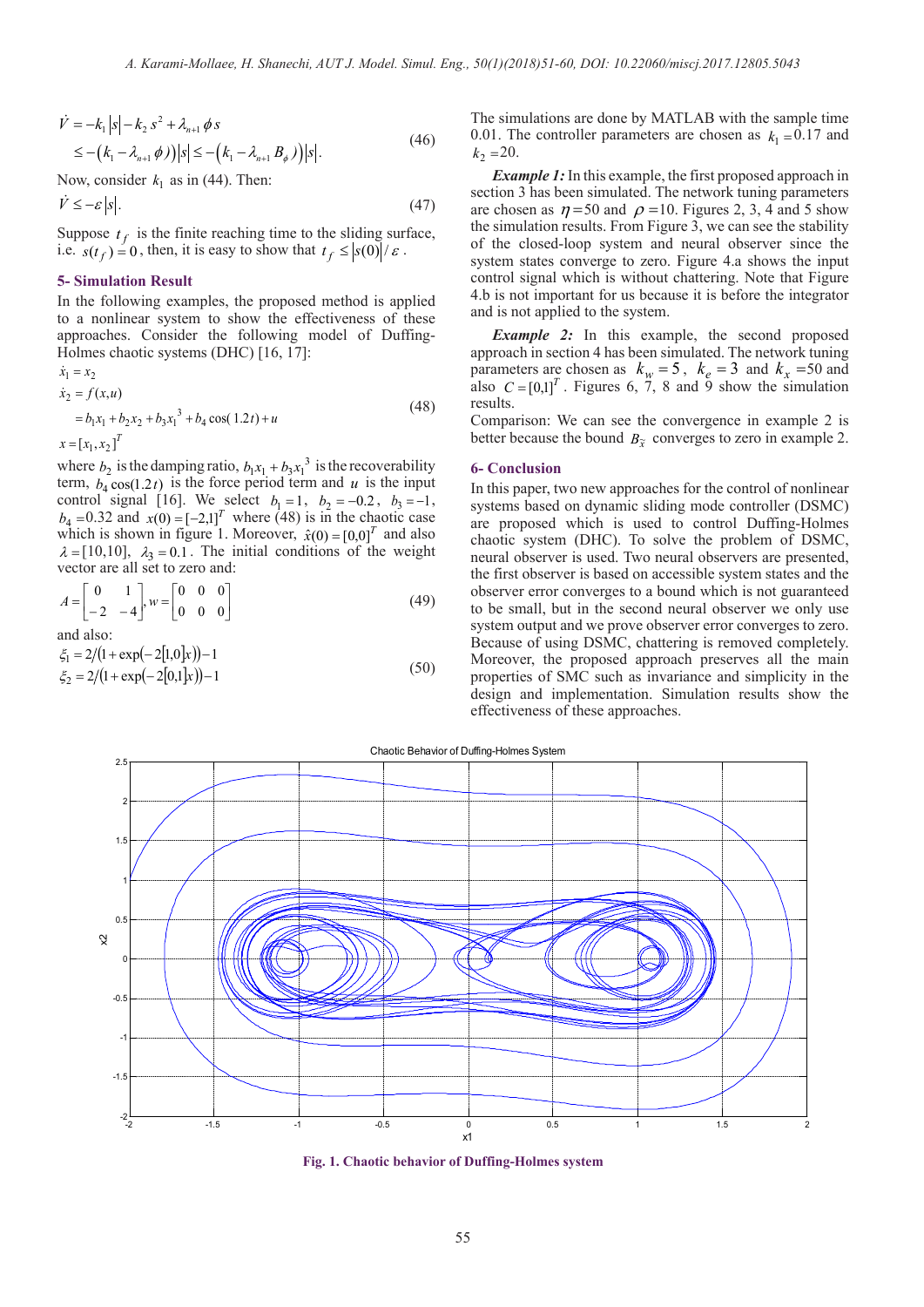$$
\dot{V} = -k_1 |s| - k_2 s^2 + \lambda_{n+1} \phi s
$$
  
\n
$$
\leq - (k_1 - \lambda_{n+1} \phi) |s| \leq - (k_1 - \lambda_{n+1} B_\phi) |s|.
$$
\n(46)

Now, consider  $k_1$  as in (44). Then:

$$
\dot{V} \le -\varepsilon \, |s|.\tag{47}
$$

Suppose  $t_f$  is the finite reaching time to the sliding surface, i.e.  $s(t_f) = 0$ , then, it is easy to show that  $t_f \le |s(0)|/\varepsilon$ .

## **5- Simulation Result**

In the following examples, the proposed method is applied to a nonlinear system to show the effectiveness of these approaches. Consider the following model of Duffing-Holmes chaotic systems (DHC) [16, 17]:

$$
\dot{x}_1 = x_2
$$
  
\n
$$
\dot{x}_2 = f(x, u)
$$
  
\n
$$
= b_1 x_1 + b_2 x_2 + b_3 x_1^3 + b_4 \cos(1.2t) + u
$$
  
\n
$$
x = [x_1, x_2]^T
$$
\n(48)

where  $b_2$  is the damping ratio,  $b_1x_1 + b_3x_1^3$  is the recoverability term,  $b_4 \cos(1.2t)$  is the force period term and *u* is the input control signal [16]. We select  $b_1 = 1$ ,  $b_2 = -0.2$ ,  $b_3 = -1$ ,  $b_4 = 0.32$  and  $x(0) = [-2,1]^T$  where (48) is in the chaotic case which is shown in figure 1. Moreover,  $\hat{x}(0) = [0,0]^T$  and also  $\lambda = [10, 10]$ ,  $\lambda_3 = 0.1$ . The initial conditions of the weight vector are all set to zero and:

$$
A = \begin{bmatrix} 0 & 1 \\ -2 & -4 \end{bmatrix}, w = \begin{bmatrix} 0 & 0 & 0 \\ 0 & 0 & 0 \end{bmatrix}
$$
 (49)

and also:

 $\xi_1 = 2/(1 + \exp(-2[1,0]x)) - 1$ <br>  $\xi_2 = 2/(1 + \exp(-2[0,1]x)) - 1$  (50)  $\xi_2 = 2/(1 + \exp(-2[0,1]x)) - 1$ 

The simulations are done by MATLAB with the sample time 0.01. The controller parameters are chosen as  $k_1 = 0.17$  and  $k_2 = 20$ .

*Example 1:* In this example, the first proposed approach in section 3 has been simulated. The network tuning parameters are chosen as  $\eta = 50$  and  $\rho = 10$ . Figures 2, 3, 4 and 5 show the simulation results. From Figure 3, we can see the stability of the closed-loop system and neural observer since the system states converge to zero. Figure 4.a shows the input control signal which is without chattering. Note that Figure 4.b is not important for us because it is before the integrator and is not applied to the system.

*Example 2:* In this example, the second proposed approach in section 4 has been simulated. The network tuning parameters are chosen as  $k_w = 5$ ,  $k_e = 3$  and  $k_x = 50$  and also  $C = [0,1]^T$ . Figures 6, 7, 8 and 9 show the simulation results.

Comparison: We can see the convergence in example 2 is better because the bound  $B_{\tilde{x}}$  converges to zero in example 2.

#### **6- Conclusion**

In this paper, two new approaches for the control of nonlinear systems based on dynamic sliding mode controller (DSMC) are proposed which is used to control Duffing-Holmes chaotic system (DHC). To solve the problem of DSMC, neural observer is used. Two neural observers are presented, the first observer is based on accessible system states and the observer error converges to a bound which is not guaranteed to be small, but in the second neural observer we only use system output and we prove observer error converges to zero. Because of using DSMC, chattering is removed completely. Moreover, the proposed approach preserves all the main properties of SMC such as invariance and simplicity in the design and implementation. Simulation results show the effectiveness of these approaches.



**Fig. 1. Chaotic behavior of Duffing-Holmes system**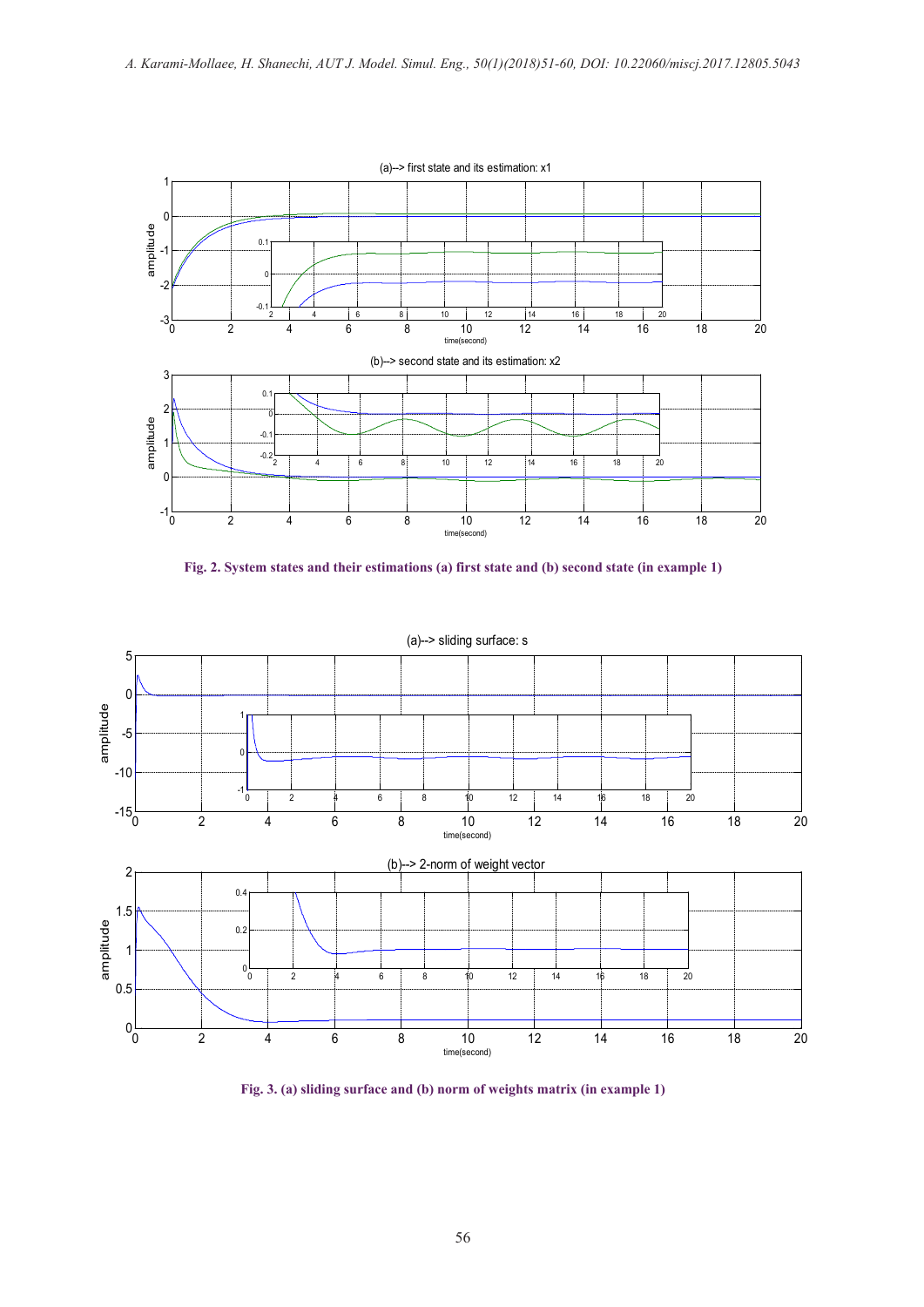

**Fig. 2. System states and their estimations (a) first state and (b) second state (in example 1)**



**Fig. 3. (a) sliding surface and (b) norm of weights matrix (in example 1)**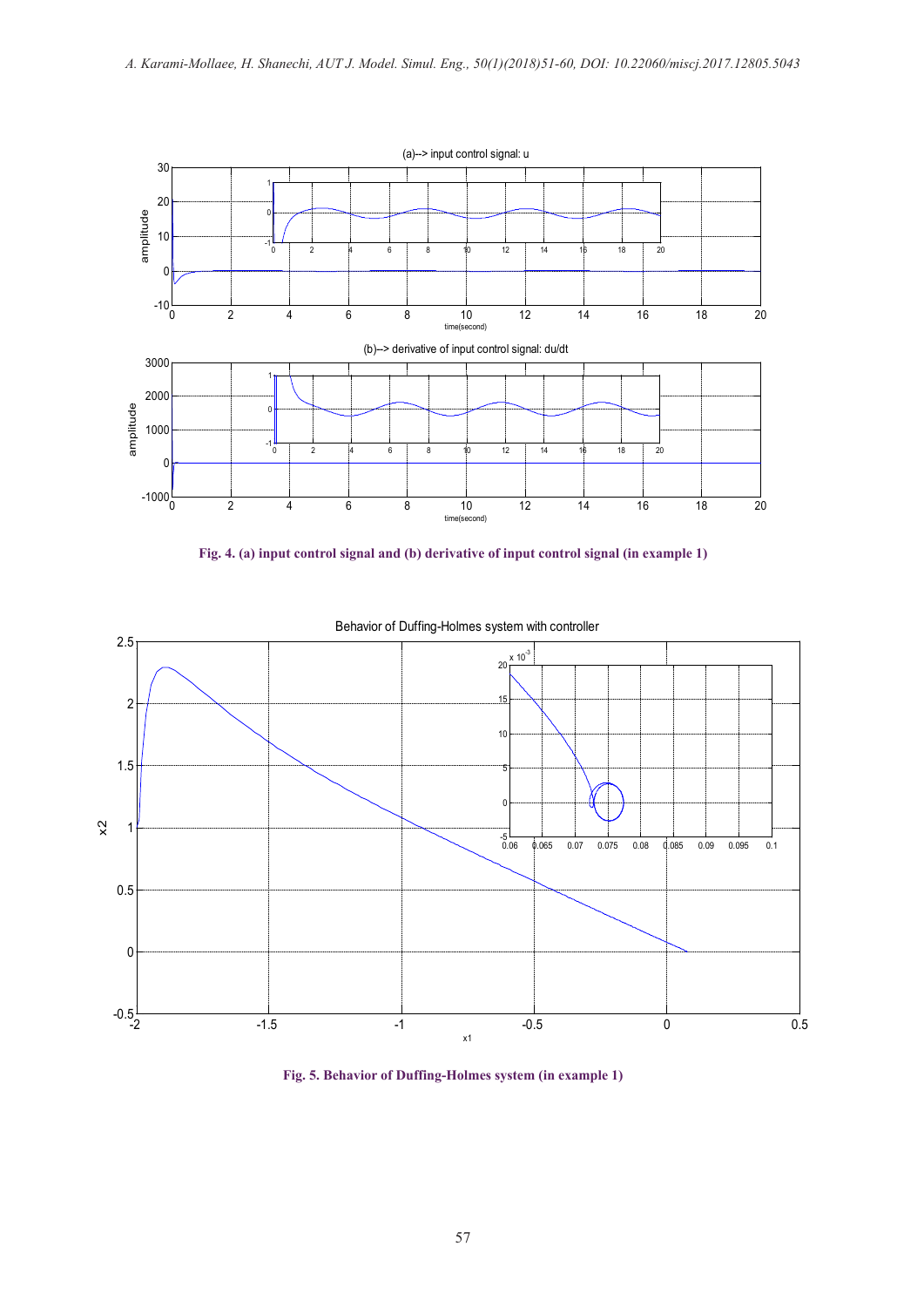





Behavior of Duffing-Holmes system with controller

**Fig. 5. Behavior of Duffing-Holmes system (in example 1)**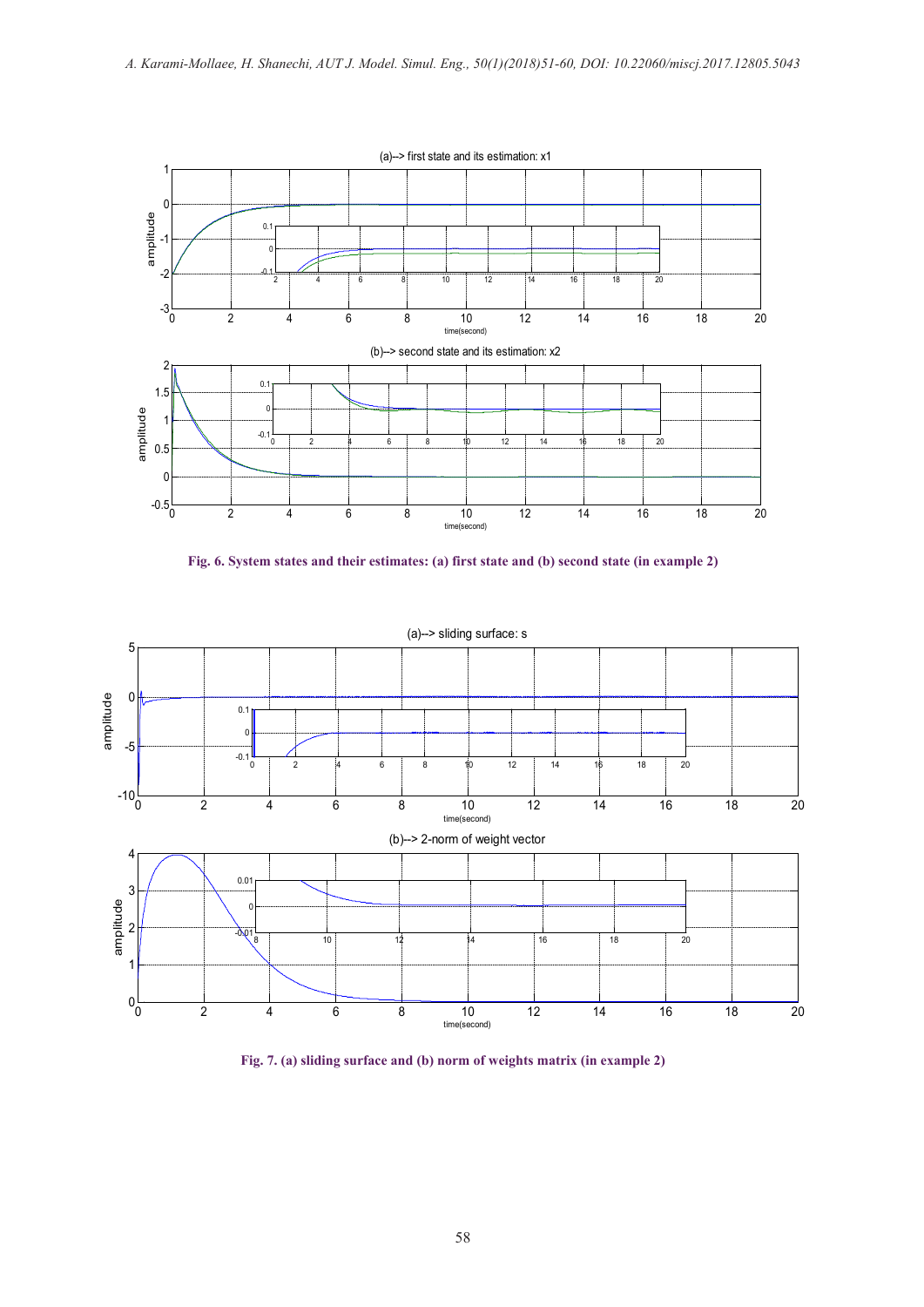





**Fig. 7. (a) sliding surface and (b) norm of weights matrix (in example 2)**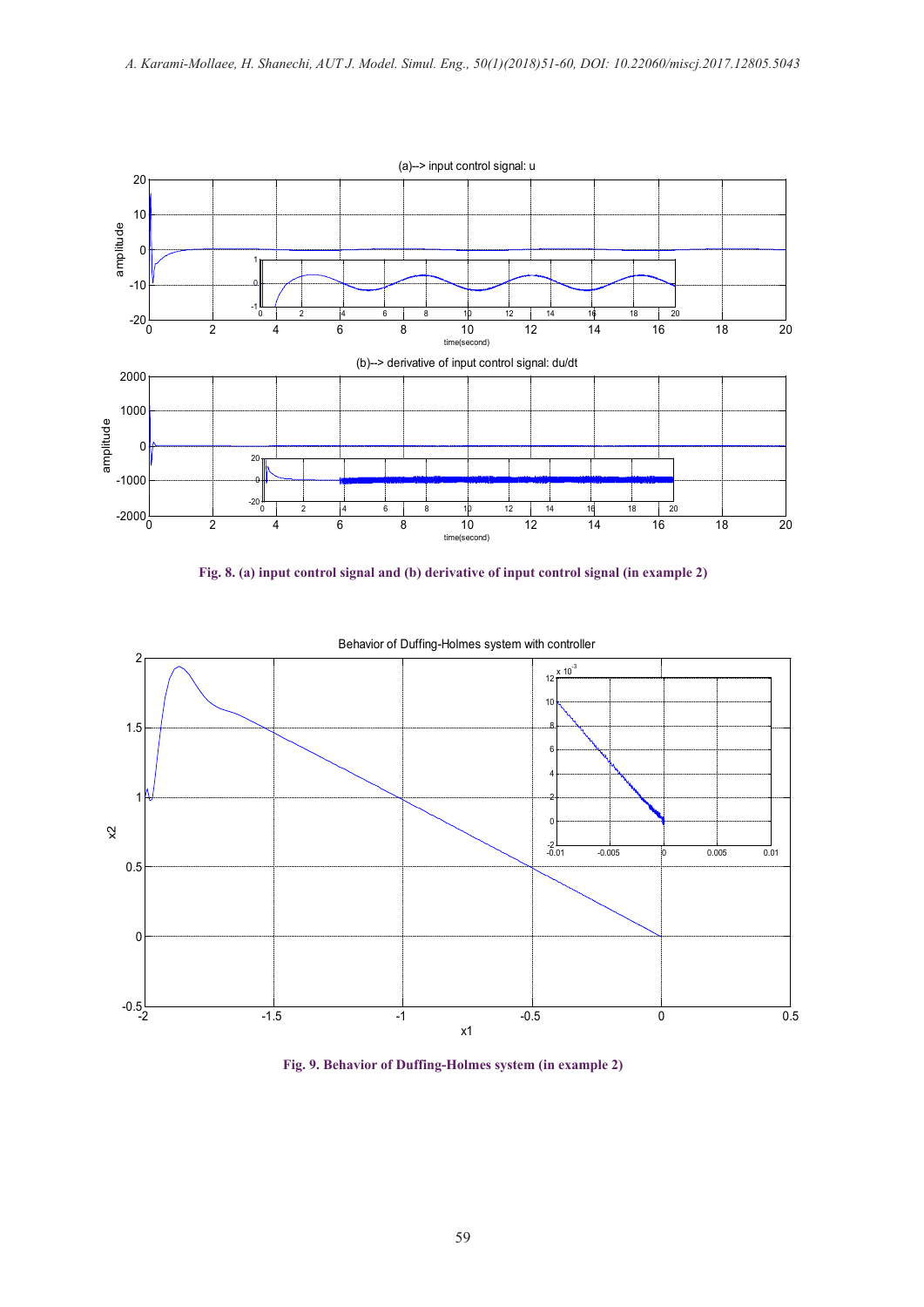

**Fig. 8. (a) input control signal and (b) derivative of input control signal (in example 2)**



Behavior of Duffing-Holmes system with controller